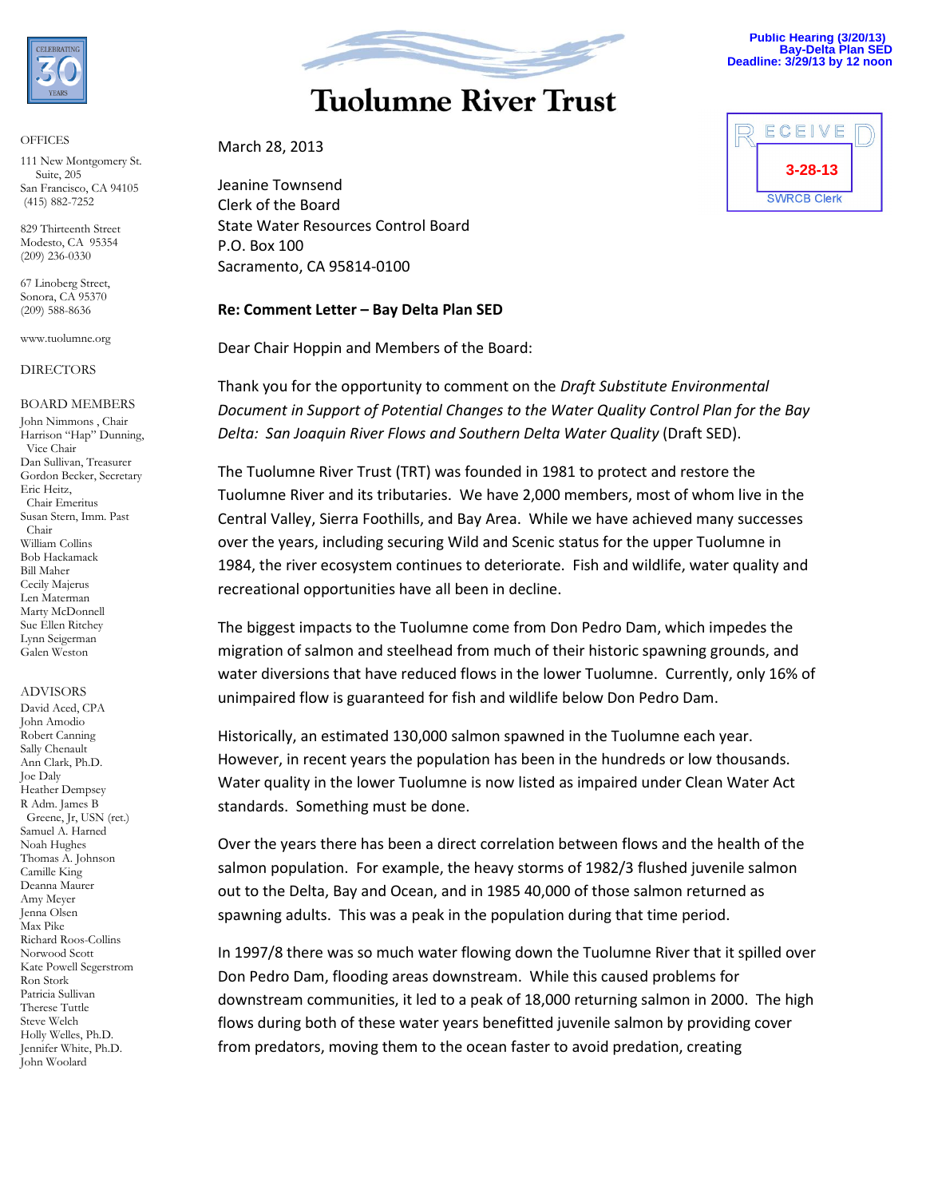

#### **OFFICES**

111 New Montgomery St. Suite, 205 San Francisco, CA 94105 (415) 882-7252

829 Thirteenth Street Modesto, CA 95354 (209) 236-0330

67 Linoberg Street, Sonora, CA 95370 (209) 588-8636

www.tuolumne.org

#### DIRECTORS

#### BOARD MEMBERS

John Nimmons , Chair Harrison "Hap" Dunning, Vice Chair Dan Sullivan, Treasurer Gordon Becker, Secretary Eric Heitz, Chair Emeritus Susan Stern, Imm. Past Chair William Collins Bob Hackamack Bill Maher Cecily Majerus Len Materman Marty McDonnell Sue Ellen Ritchey Lynn Seigerman Galen Weston

#### ADVISORS

David Aced, CPA John Amodio Robert Canning Sally Chenault Ann Clark, Ph.D. Joe Daly Heather Dempsey R Adm. James B Greene, Jr, USN (ret.) Samuel A. Harned Noah Hughes Thomas A. Johnson Camille King Deanna Maurer Amy Meyer Jenna Olsen Max Pike Richard Roos-Collins Norwood Scott Kate Powell Segerstrom Ron Stork Patricia Sullivan Therese Tuttle Steve Welch Holly Welles, Ph.D. Jennifer White, Ph.D. John Woolard



# **Tuolumne River Trust**

#### March 28, 2013

Jeanine Townsend Clerk of the Board State Water Resources Control Board P.O. Box 100 Sacramento, CA 95814-0100

#### **Re: Comment Letter – Bay Delta Plan SED**

Dear Chair Hoppin and Members of the Board:

Thank you for the opportunity to comment on the *Draft Substitute Environmental Document in Support of Potential Changes to the Water Quality Control Plan for the Bay Delta: San Joaquin River Flows and Southern Delta Water Quality* (Draft SED).

The Tuolumne River Trust (TRT) was founded in 1981 to protect and restore the Tuolumne River and its tributaries. We have 2,000 members, most of whom live in the Central Valley, Sierra Foothills, and Bay Area. While we have achieved many successes over the years, including securing Wild and Scenic status for the upper Tuolumne in 1984, the river ecosystem continues to deteriorate. Fish and wildlife, water quality and recreational opportunities have all been in decline.

The biggest impacts to the Tuolumne come from Don Pedro Dam, which impedes the migration of salmon and steelhead from much of their historic spawning grounds, and water diversions that have reduced flows in the lower Tuolumne. Currently, only 16% of unimpaired flow is guaranteed for fish and wildlife below Don Pedro Dam.

Historically, an estimated 130,000 salmon spawned in the Tuolumne each year. However, in recent years the population has been in the hundreds or low thousands. Water quality in the lower Tuolumne is now listed as impaired under Clean Water Act standards. Something must be done.

Over the years there has been a direct correlation between flows and the health of the salmon population. For example, the heavy storms of 1982/3 flushed juvenile salmon out to the Delta, Bay and Ocean, and in 1985 40,000 of those salmon returned as spawning adults. This was a peak in the population during that time period.

In 1997/8 there was so much water flowing down the Tuolumne River that it spilled over Don Pedro Dam, flooding areas downstream. While this caused problems for downstream communities, it led to a peak of 18,000 returning salmon in 2000. The high flows during both of these water years benefitted juvenile salmon by providing cover from predators, moving them to the ocean faster to avoid predation, creating



**Public Hearing (3/20/13) Bay-Delta Plan SED Deadline: 3/29/13 by 12 noon**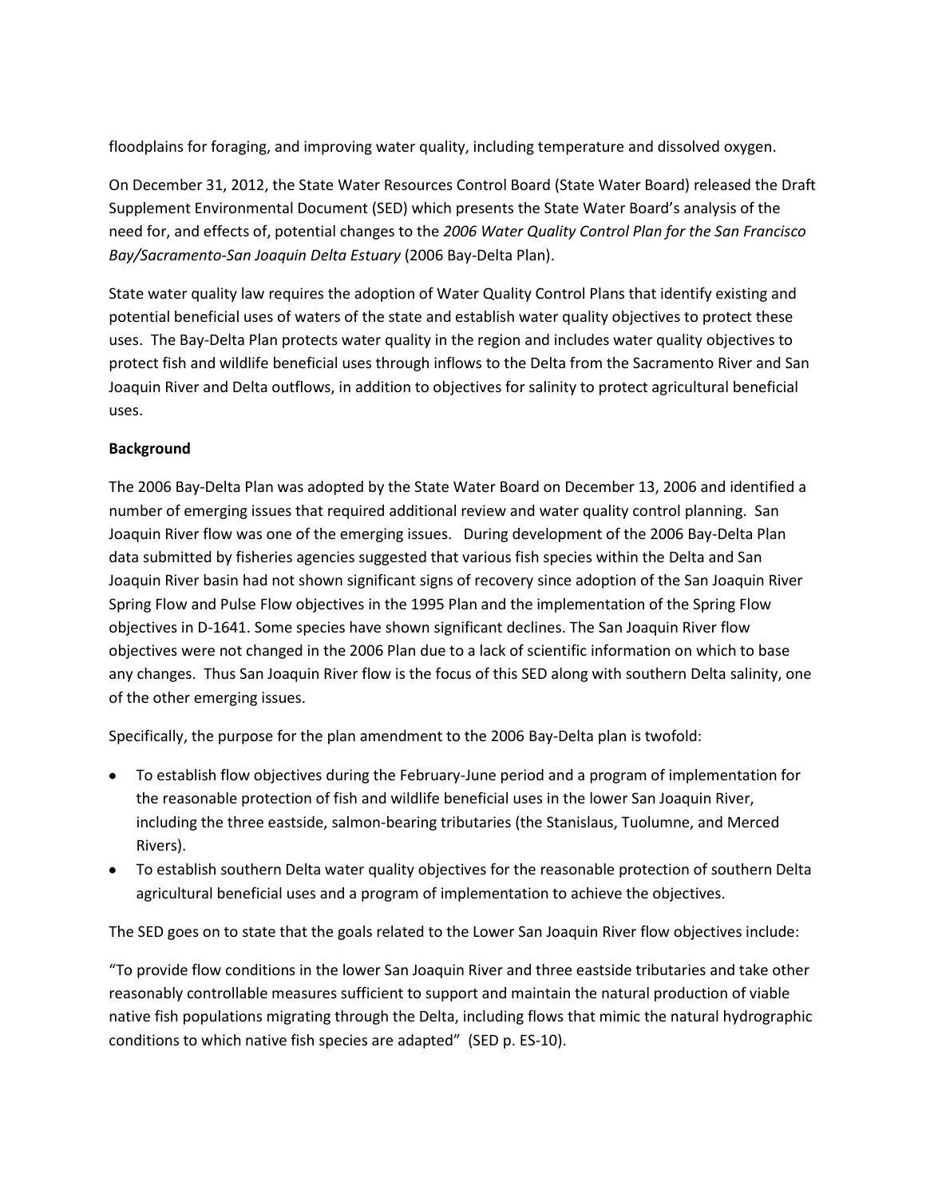floodplains for foraging, and improving water quality, including temperature and dissolved oxygen.

On December 31, 2012, the State Water Resources Control Board (State Water Board) released the Draft Supplement Environmental Document (SED) which presents the State Water Board's analysis of the need for, and effects of, potential changes to the *2006 Water Quality Control Plan for the San Francisco Bay/Sacramento-San Joaquin Delta Estuary* (2006 Bay-Delta Plan).

State water quality law requires the adoption of Water Quality Control Plans that identify existing and potential beneficial uses of waters of the state and establish water quality objectives to protect these uses. The Bay-Delta Plan protects water quality in the region and includes water quality objectives to protect fish and wildlife beneficial uses through inflows to the Delta from the Sacramento River and San Joaquin River and Delta outflows, in addition to objectives for salinity to protect agricultural beneficial uses.

### **Background**

The 2006 Bay-Delta Plan was adopted by the State Water Board on December 13, 2006 and identified a number of emerging issues that required additional review and water quality control planning. San Joaquin River flow was one of the emerging issues. During development of the 2006 Bay-Delta Plan data submitted by fisheries agencies suggested that various fish species within the Delta and San Joaquin River basin had not shown significant signs of recovery since adoption of the San Joaquin River Spring Flow and Pulse Flow objectives in the 1995 Plan and the implementation of the Spring Flow objectives in D-1641. Some species have shown significant declines. The San Joaquin River flow objectives were not changed in the 2006 Plan due to a lack of scientific information on which to base any changes. Thus San Joaquin River flow is the focus of this SED along with southern Delta salinity, one of the other emerging issues.

Specifically, the purpose for the plan amendment to the 2006 Bay-Delta plan is twofold:

- To establish flow objectives during the February-June period and a program of implementation for the reasonable protection of fish and wildlife beneficial uses in the lower San Joaquin River, including the three eastside, salmon-bearing tributaries (the Stanislaus, Tuolumne, and Merced Rivers).
- To establish southern Delta water quality objectives for the reasonable protection of southern Delta agricultural beneficial uses and a program of implementation to achieve the objectives.

The SED goes on to state that the goals related to the Lower San Joaquin River flow objectives include:

"To provide flow conditions in the lower San Joaquin River and three eastside tributaries and take other reasonably controllable measures sufficient to support and maintain the natural production of viable native fish populations migrating through the Delta, including flows that mimic the natural hydrographic conditions to which native fish species are adapted" (SED p. ES-10).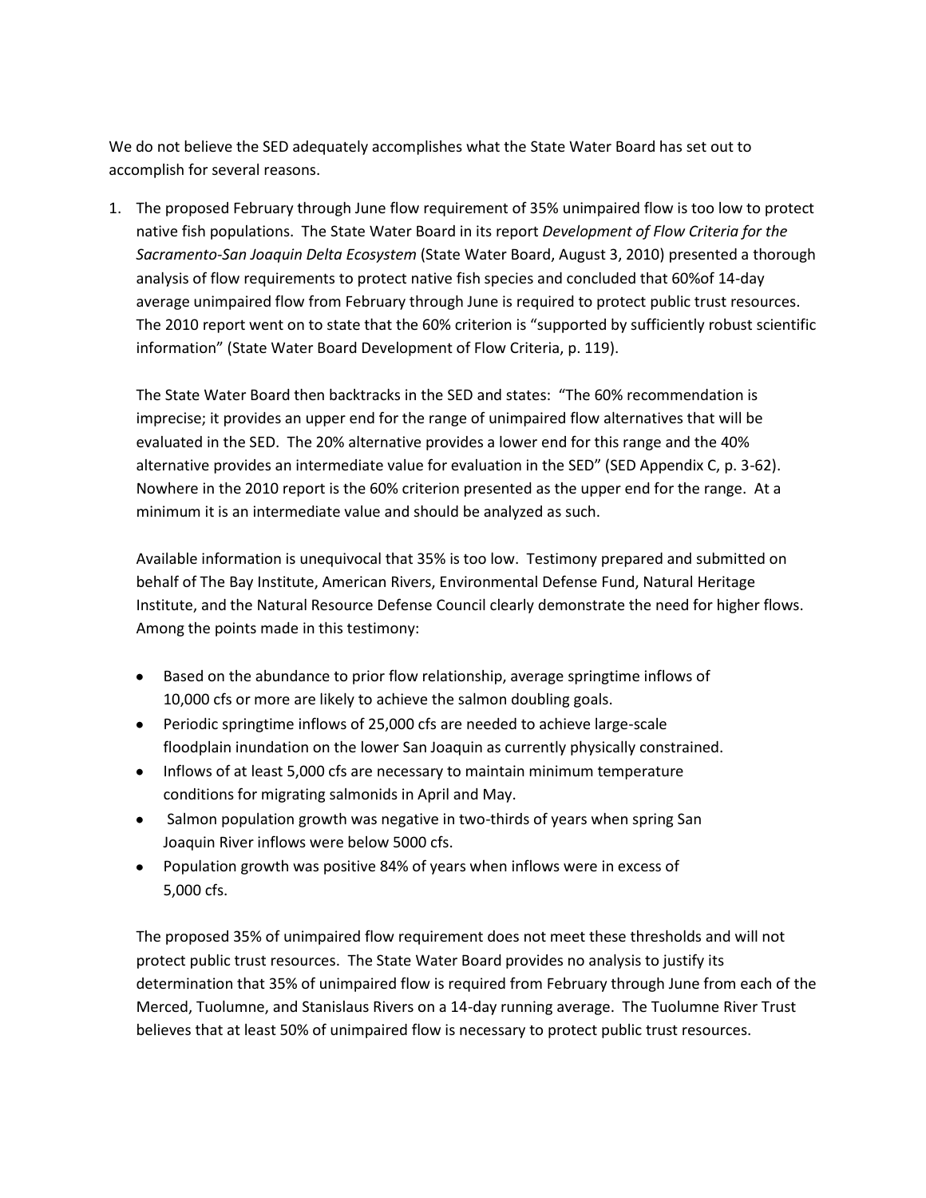We do not believe the SED adequately accomplishes what the State Water Board has set out to accomplish for several reasons.

1. The proposed February through June flow requirement of 35% unimpaired flow is too low to protect native fish populations. The State Water Board in its report *Development of Flow Criteria for the Sacramento-San Joaquin Delta Ecosystem* (State Water Board, August 3, 2010) presented a thorough analysis of flow requirements to protect native fish species and concluded that 60%of 14-day average unimpaired flow from February through June is required to protect public trust resources. The 2010 report went on to state that the 60% criterion is "supported by sufficiently robust scientific information" (State Water Board Development of Flow Criteria, p. 119).

The State Water Board then backtracks in the SED and states: "The 60% recommendation is imprecise; it provides an upper end for the range of unimpaired flow alternatives that will be evaluated in the SED. The 20% alternative provides a lower end for this range and the 40% alternative provides an intermediate value for evaluation in the SED" (SED Appendix C, p. 3-62). Nowhere in the 2010 report is the 60% criterion presented as the upper end for the range. At a minimum it is an intermediate value and should be analyzed as such.

Available information is unequivocal that 35% is too low. Testimony prepared and submitted on behalf of The Bay Institute, American Rivers, Environmental Defense Fund, Natural Heritage Institute, and the Natural Resource Defense Council clearly demonstrate the need for higher flows. Among the points made in this testimony:

- Based on the abundance to prior flow relationship, average springtime inflows of 10,000 cfs or more are likely to achieve the salmon doubling goals.
- Periodic springtime inflows of 25,000 cfs are needed to achieve large-scale floodplain inundation on the lower San Joaquin as currently physically constrained.
- Inflows of at least 5,000 cfs are necessary to maintain minimum temperature conditions for migrating salmonids in April and May.
- Salmon population growth was negative in two-thirds of years when spring San Joaquin River inflows were below 5000 cfs.
- Population growth was positive 84% of years when inflows were in excess of 5,000 cfs.

The proposed 35% of unimpaired flow requirement does not meet these thresholds and will not protect public trust resources. The State Water Board provides no analysis to justify its determination that 35% of unimpaired flow is required from February through June from each of the Merced, Tuolumne, and Stanislaus Rivers on a 14-day running average. The Tuolumne River Trust believes that at least 50% of unimpaired flow is necessary to protect public trust resources.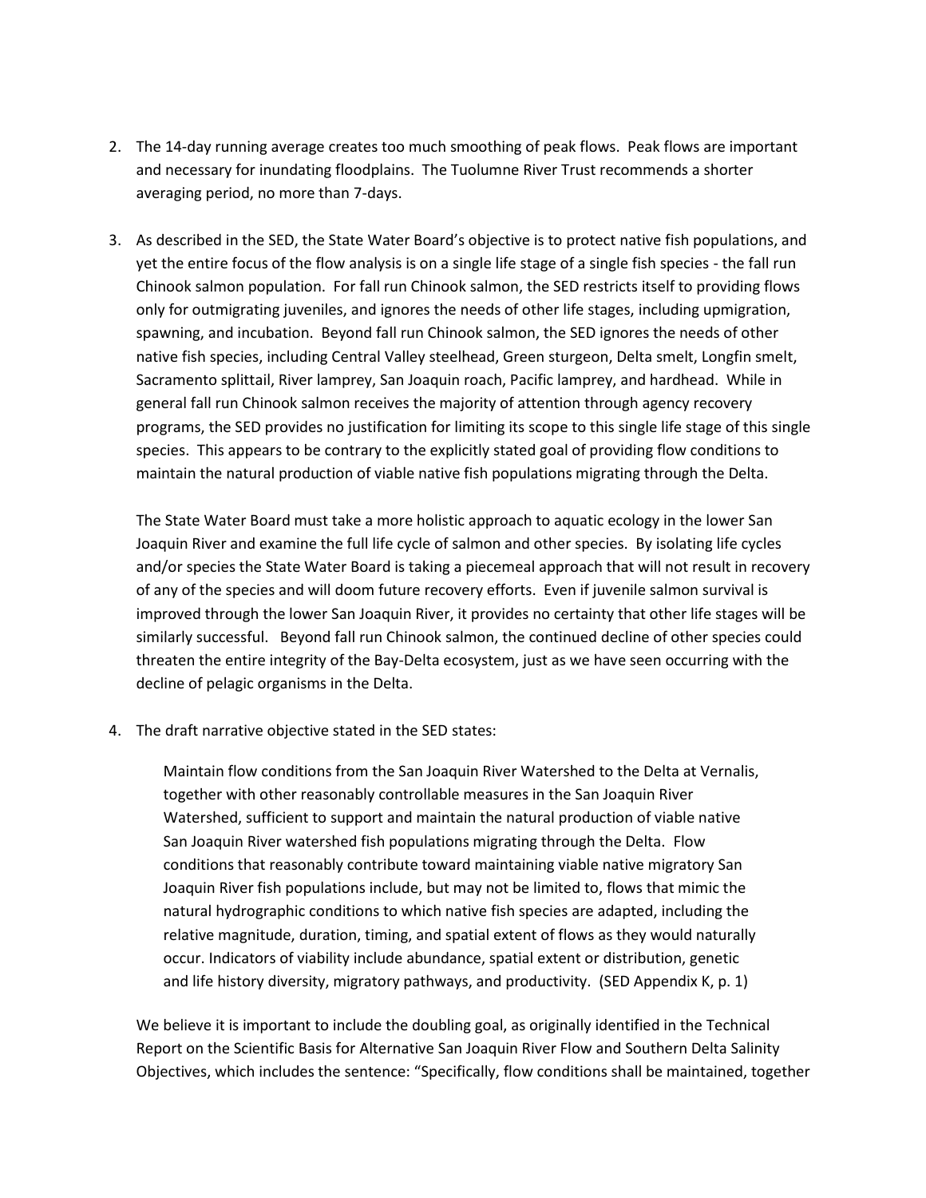- 2. The 14-day running average creates too much smoothing of peak flows. Peak flows are important and necessary for inundating floodplains. The Tuolumne River Trust recommends a shorter averaging period, no more than 7-days.
- 3. As described in the SED, the State Water Board's objective is to protect native fish populations, and yet the entire focus of the flow analysis is on a single life stage of a single fish species - the fall run Chinook salmon population. For fall run Chinook salmon, the SED restricts itself to providing flows only for outmigrating juveniles, and ignores the needs of other life stages, including upmigration, spawning, and incubation. Beyond fall run Chinook salmon, the SED ignores the needs of other native fish species, including Central Valley steelhead, Green sturgeon, Delta smelt, Longfin smelt, Sacramento splittail, River lamprey, San Joaquin roach, Pacific lamprey, and hardhead. While in general fall run Chinook salmon receives the majority of attention through agency recovery programs, the SED provides no justification for limiting its scope to this single life stage of this single species. This appears to be contrary to the explicitly stated goal of providing flow conditions to maintain the natural production of viable native fish populations migrating through the Delta.

The State Water Board must take a more holistic approach to aquatic ecology in the lower San Joaquin River and examine the full life cycle of salmon and other species. By isolating life cycles and/or species the State Water Board is taking a piecemeal approach that will not result in recovery of any of the species and will doom future recovery efforts. Even if juvenile salmon survival is improved through the lower San Joaquin River, it provides no certainty that other life stages will be similarly successful. Beyond fall run Chinook salmon, the continued decline of other species could threaten the entire integrity of the Bay-Delta ecosystem, just as we have seen occurring with the decline of pelagic organisms in the Delta.

4. The draft narrative objective stated in the SED states:

Maintain flow conditions from the San Joaquin River Watershed to the Delta at Vernalis, together with other reasonably controllable measures in the San Joaquin River Watershed, sufficient to support and maintain the natural production of viable native San Joaquin River watershed fish populations migrating through the Delta. Flow conditions that reasonably contribute toward maintaining viable native migratory San Joaquin River fish populations include, but may not be limited to, flows that mimic the natural hydrographic conditions to which native fish species are adapted, including the relative magnitude, duration, timing, and spatial extent of flows as they would naturally occur. Indicators of viability include abundance, spatial extent or distribution, genetic and life history diversity, migratory pathways, and productivity.(SED Appendix K, p. 1)

We believe it is important to include the doubling goal, as originally identified in the Technical Report on the Scientific Basis for Alternative San Joaquin River Flow and Southern Delta Salinity Objectives, which includes the sentence: "Specifically, flow conditions shall be maintained, together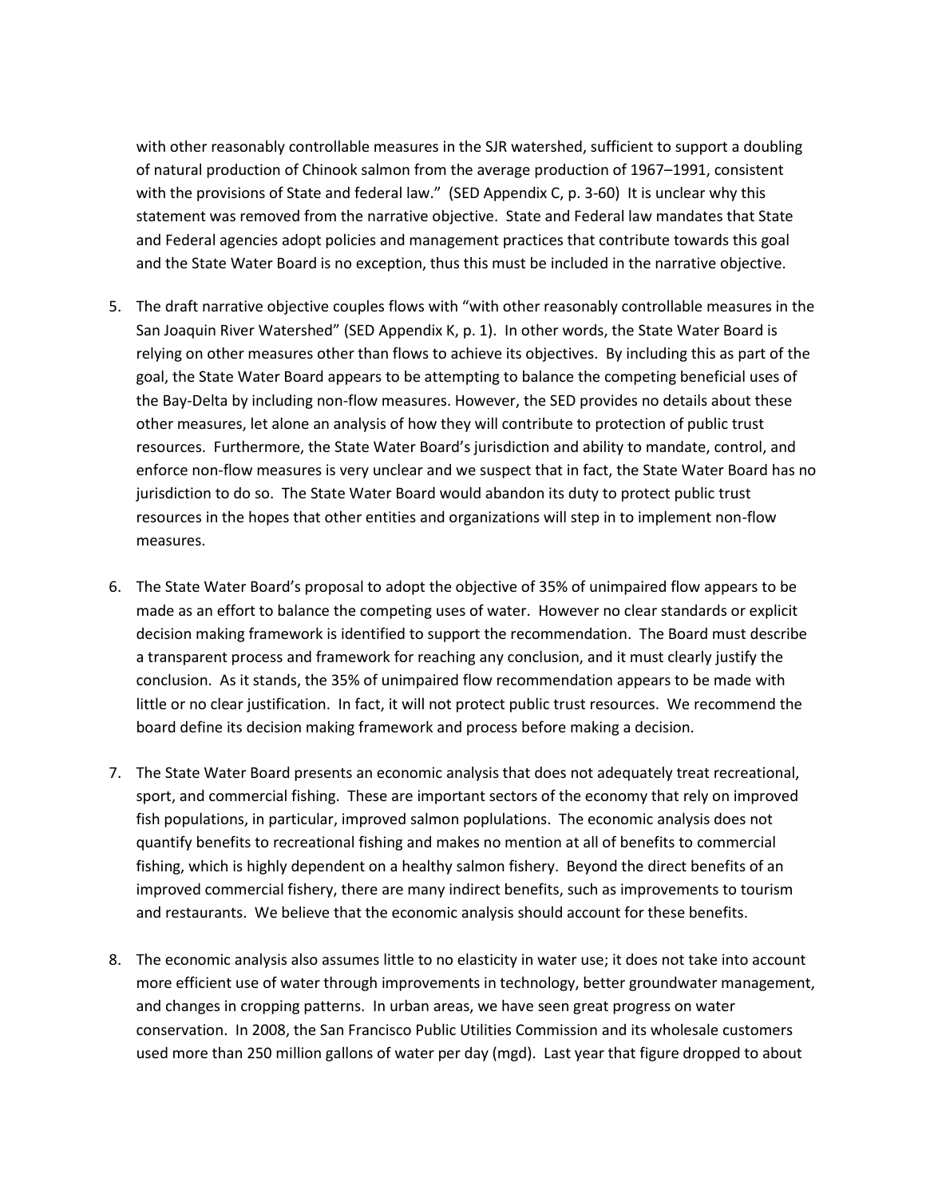with other reasonably controllable measures in the SJR watershed, sufficient to support a doubling of natural production of Chinook salmon from the average production of 1967–1991, consistent with the provisions of State and federal law." (SED Appendix C, p. 3-60) It is unclear why this statement was removed from the narrative objective. State and Federal law mandates that State and Federal agencies adopt policies and management practices that contribute towards this goal and the State Water Board is no exception, thus this must be included in the narrative objective.

- 5. The draft narrative objective couples flows with "with other reasonably controllable measures in the San Joaquin River Watershed" (SED Appendix K, p. 1). In other words, the State Water Board is relying on other measures other than flows to achieve its objectives. By including this as part of the goal, the State Water Board appears to be attempting to balance the competing beneficial uses of the Bay-Delta by including non-flow measures. However, the SED provides no details about these other measures, let alone an analysis of how they will contribute to protection of public trust resources. Furthermore, the State Water Board's jurisdiction and ability to mandate, control, and enforce non-flow measures is very unclear and we suspect that in fact, the State Water Board has no jurisdiction to do so. The State Water Board would abandon its duty to protect public trust resources in the hopes that other entities and organizations will step in to implement non-flow measures.
- 6. The State Water Board's proposal to adopt the objective of 35% of unimpaired flow appears to be made as an effort to balance the competing uses of water. However no clear standards or explicit decision making framework is identified to support the recommendation. The Board must describe a transparent process and framework for reaching any conclusion, and it must clearly justify the conclusion. As it stands, the 35% of unimpaired flow recommendation appears to be made with little or no clear justification. In fact, it will not protect public trust resources. We recommend the board define its decision making framework and process before making a decision.
- 7. The State Water Board presents an economic analysis that does not adequately treat recreational, sport, and commercial fishing. These are important sectors of the economy that rely on improved fish populations, in particular, improved salmon poplulations. The economic analysis does not quantify benefits to recreational fishing and makes no mention at all of benefits to commercial fishing, which is highly dependent on a healthy salmon fishery. Beyond the direct benefits of an improved commercial fishery, there are many indirect benefits, such as improvements to tourism and restaurants. We believe that the economic analysis should account for these benefits.
- 8. The economic analysis also assumes little to no elasticity in water use; it does not take into account more efficient use of water through improvements in technology, better groundwater management, and changes in cropping patterns. In urban areas, we have seen great progress on water conservation. In 2008, the San Francisco Public Utilities Commission and its wholesale customers used more than 250 million gallons of water per day (mgd). Last year that figure dropped to about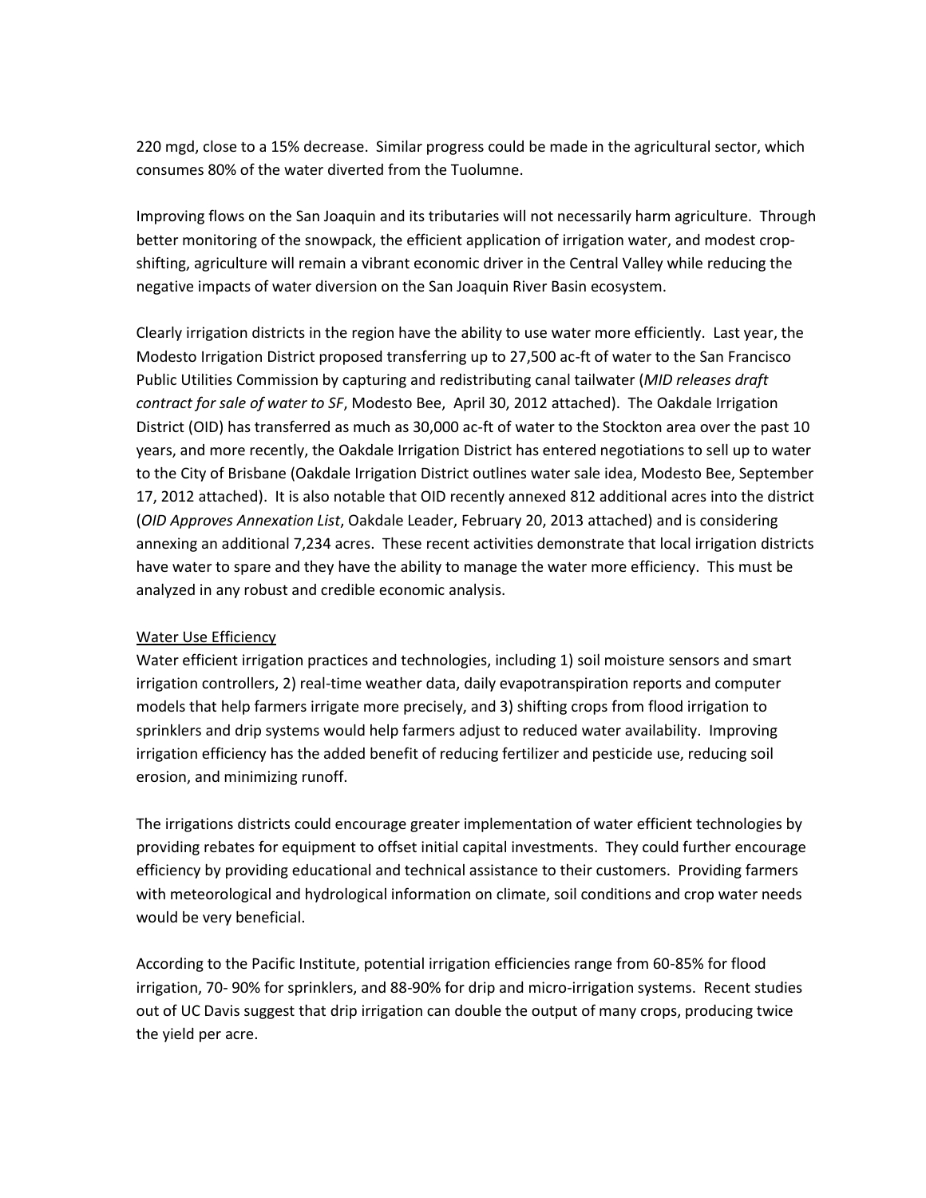220 mgd, close to a 15% decrease. Similar progress could be made in the agricultural sector, which consumes 80% of the water diverted from the Tuolumne.

Improving flows on the San Joaquin and its tributaries will not necessarily harm agriculture. Through better monitoring of the snowpack, the efficient application of irrigation water, and modest cropshifting, agriculture will remain a vibrant economic driver in the Central Valley while reducing the negative impacts of water diversion on the San Joaquin River Basin ecosystem.

Clearly irrigation districts in the region have the ability to use water more efficiently. Last year, the Modesto Irrigation District proposed transferring up to 27,500 ac-ft of water to the San Francisco Public Utilities Commission by capturing and redistributing canal tailwater (*MID releases draft contract for sale of water to SF*, Modesto Bee, April 30, 2012 attached). The Oakdale Irrigation District (OID) has transferred as much as 30,000 ac-ft of water to the Stockton area over the past 10 years, and more recently, the Oakdale Irrigation District has entered negotiations to sell up to water to the City of Brisbane (Oakdale Irrigation District outlines water sale idea, Modesto Bee, September 17, 2012 attached). It is also notable that OID recently annexed 812 additional acres into the district (*OID Approves Annexation List*, Oakdale Leader, February 20, 2013 attached) and is considering annexing an additional 7,234 acres. These recent activities demonstrate that local irrigation districts have water to spare and they have the ability to manage the water more efficiency. This must be analyzed in any robust and credible economic analysis.

#### Water Use Efficiency

Water efficient irrigation practices and technologies, including 1) soil moisture sensors and smart irrigation controllers, 2) real-time weather data, daily evapotranspiration reports and computer models that help farmers irrigate more precisely, and 3) shifting crops from flood irrigation to sprinklers and drip systems would help farmers adjust to reduced water availability. Improving irrigation efficiency has the added benefit of reducing fertilizer and pesticide use, reducing soil erosion, and minimizing runoff.

The irrigations districts could encourage greater implementation of water efficient technologies by providing rebates for equipment to offset initial capital investments. They could further encourage efficiency by providing educational and technical assistance to their customers. Providing farmers with meteorological and hydrological information on climate, soil conditions and crop water needs would be very beneficial.

According to the Pacific Institute, potential irrigation efficiencies range from 60-85% for flood irrigation, 70- 90% for sprinklers, and 88-90% for drip and micro-irrigation systems. Recent studies out of UC Davis suggest that drip irrigation can double the output of many crops, producing twice the yield per acre.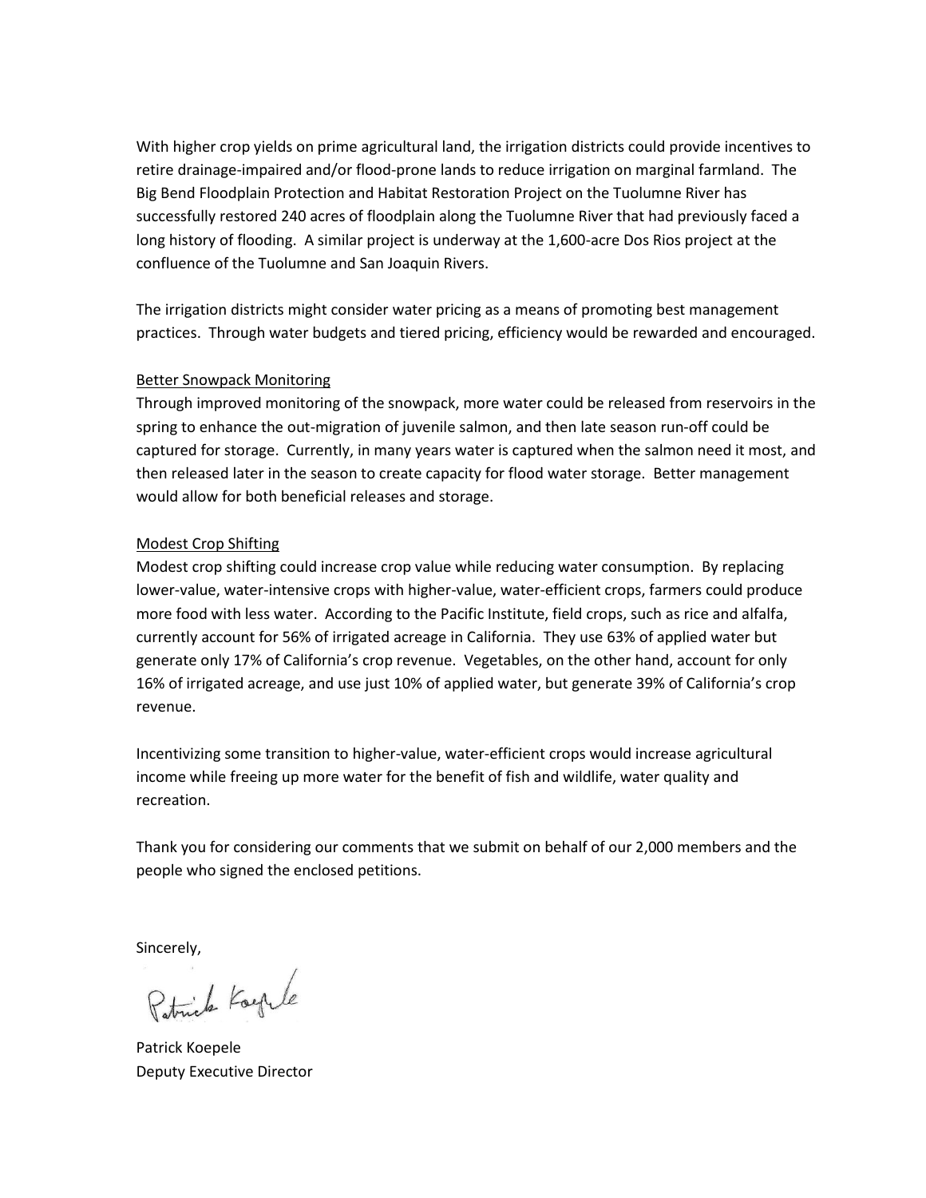With higher crop yields on prime agricultural land, the irrigation districts could provide incentives to retire drainage-impaired and/or flood-prone lands to reduce irrigation on marginal farmland. The Big Bend Floodplain Protection and Habitat Restoration Project on the Tuolumne River has successfully restored 240 acres of floodplain along the Tuolumne River that had previously faced a long history of flooding. A similar project is underway at the 1,600-acre Dos Rios project at the confluence of the Tuolumne and San Joaquin Rivers.

The irrigation districts might consider water pricing as a means of promoting best management practices. Through water budgets and tiered pricing, efficiency would be rewarded and encouraged.

#### Better Snowpack Monitoring

Through improved monitoring of the snowpack, more water could be released from reservoirs in the spring to enhance the out-migration of juvenile salmon, and then late season run-off could be captured for storage. Currently, in many years water is captured when the salmon need it most, and then released later in the season to create capacity for flood water storage. Better management would allow for both beneficial releases and storage.

#### Modest Crop Shifting

Modest crop shifting could increase crop value while reducing water consumption. By replacing lower-value, water-intensive crops with higher-value, water-efficient crops, farmers could produce more food with less water. According to the Pacific Institute, field crops, such as rice and alfalfa, currently account for 56% of irrigated acreage in California. They use 63% of applied water but generate only 17% of California's crop revenue. Vegetables, on the other hand, account for only 16% of irrigated acreage, and use just 10% of applied water, but generate 39% of California's crop revenue.

Incentivizing some transition to higher-value, water-efficient crops would increase agricultural income while freeing up more water for the benefit of fish and wildlife, water quality and recreation.

Thank you for considering our comments that we submit on behalf of our 2,000 members and the people who signed the enclosed petitions.

Sincerely,

Patrick Koeple

Patrick Koepele Deputy Executive Director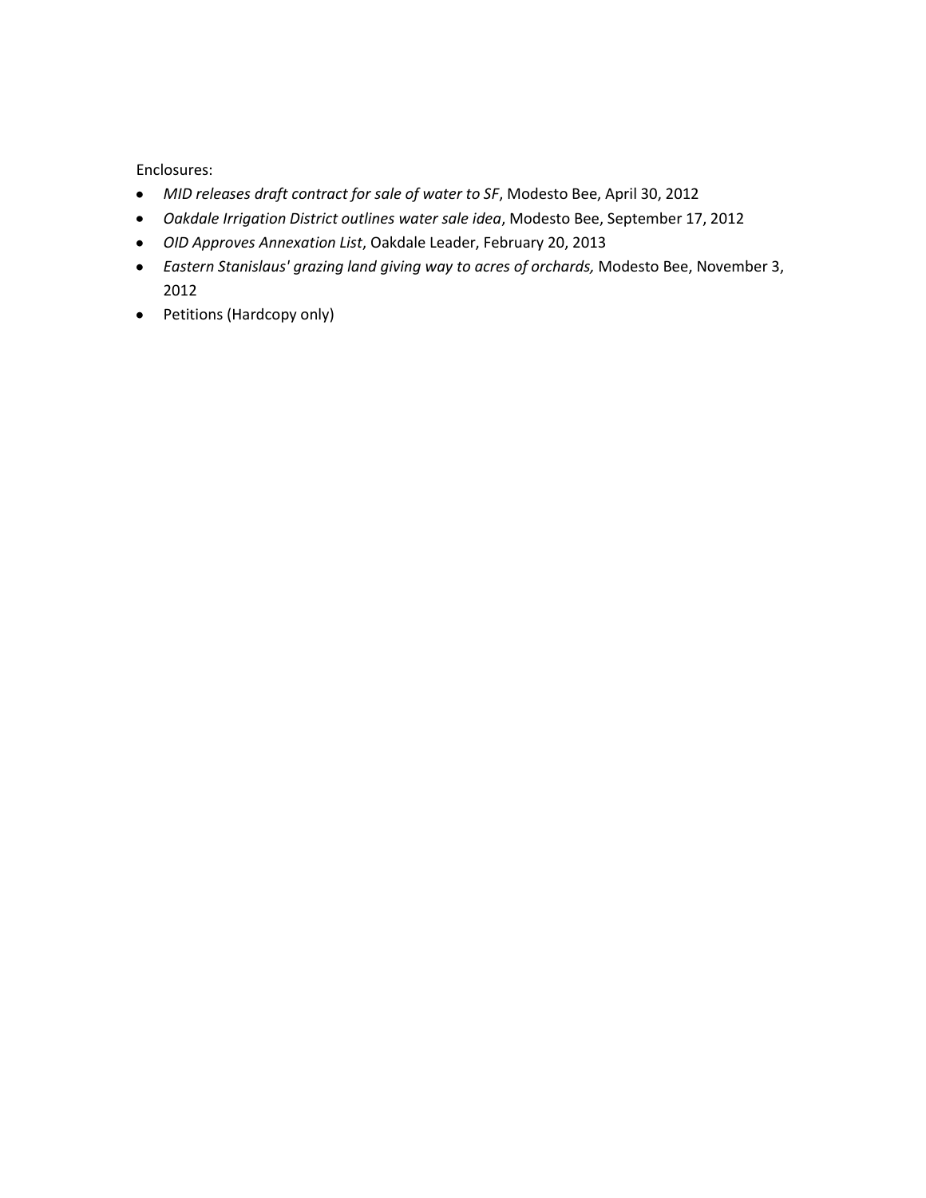Enclosures:

- *MID releases draft contract for sale of water to SF*, Modesto Bee, April 30, 2012
- *Oakdale Irrigation District outlines water sale idea*, Modesto Bee, September 17, 2012
- *OID Approves Annexation List*, Oakdale Leader, February 20, 2013
- *Eastern Stanislaus' grazing land giving way to acres of orchards,* Modesto Bee, November 3, 2012
- Petitions (Hardcopy only)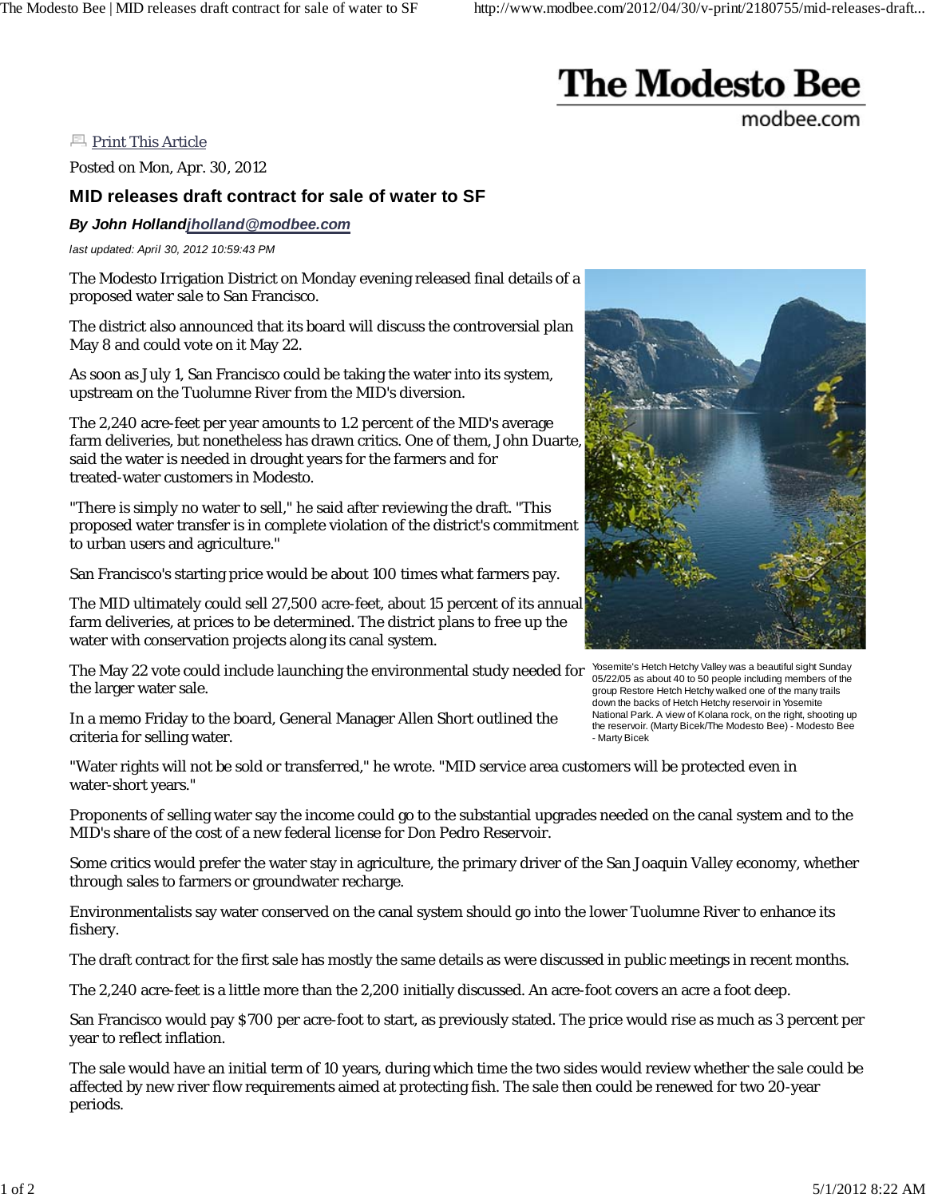# **The Modesto Bee**

modbee.com

**Print This Article** 

Posted on Mon, Apr. 30, 2012

### **MID releases draft contract for sale of water to SF**

*By John Hollandjholland@modbee.com*

*last updated: April 30, 2012 10:59:43 PM*

The Modesto Irrigation District on Monday evening released final details of a proposed water sale to San Francisco.

The district also announced that its board will discuss the controversial plan May 8 and could vote on it May 22.

As soon as July 1, San Francisco could be taking the water into its system, upstream on the Tuolumne River from the MID's diversion.

The 2,240 acre-feet per year amounts to 1.2 percent of the MID's average farm deliveries, but nonetheless has drawn critics. One of them, John Duarte, said the water is needed in drought years for the farmers and for treated-water customers in Modesto.

"There is simply no water to sell," he said after reviewing the draft. "This proposed water transfer is in complete violation of the district's commitment to urban users and agriculture."

San Francisco's starting price would be about 100 times what farmers pay.

The MID ultimately could sell 27,500 acre-feet, about 15 percent of its annual farm deliveries, at prices to be determined. The district plans to free up the water with conservation projects along its canal system.

The May 22 vote could include launching the environmental study needed for the larger water sale.

In a memo Friday to the board, General Manager Allen Short outlined the criteria for selling water.

Yosemite's Hetch Hetchy Valley was a beautiful sight Sunday 05/22/05 as about 40 to 50 people including members of the group Restore Hetch Hetchy walked one of the many trails down the backs of Hetch Hetchy reservoir in Yosemite National Park. A view of Kolana rock, on the right, shooting up the reservoir. (Marty Bicek/The Modesto Bee) - Modesto Bee - Marty Bicek

"Water rights will not be sold or transferred," he wrote. "MID service area customers will be protected even in water-short years."

Proponents of selling water say the income could go to the substantial upgrades needed on the canal system and to the MID's share of the cost of a new federal license for Don Pedro Reservoir.

Some critics would prefer the water stay in agriculture, the primary driver of the San Joaquin Valley economy, whether through sales to farmers or groundwater recharge.

Environmentalists say water conserved on the canal system should go into the lower Tuolumne River to enhance its fishery.

The draft contract for the first sale has mostly the same details as were discussed in public meetings in recent months.

The 2,240 acre-feet is a little more than the 2,200 initially discussed. An acre-foot covers an acre a foot deep.

San Francisco would pay \$700 per acre-foot to start, as previously stated. The price would rise as much as 3 percent per year to reflect inflation.

The sale would have an initial term of 10 years, during which time the two sides would review whether the sale could be affected by new river flow requirements aimed at protecting fish. The sale then could be renewed for two 20-year periods.

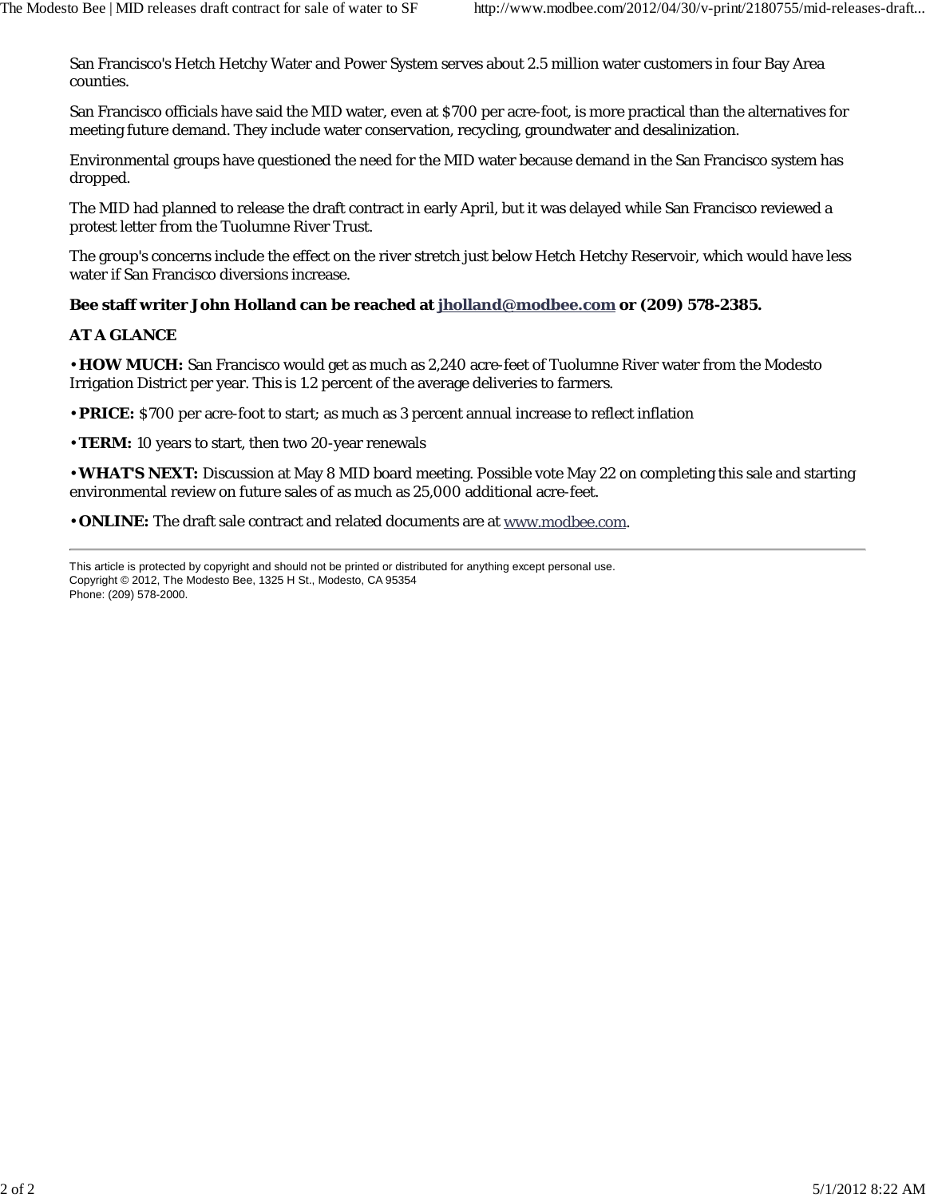San Francisco's Hetch Hetchy Water and Power System serves about 2.5 million water customers in four Bay Area counties.

San Francisco officials have said the MID water, even at \$700 per acre-foot, is more practical than the alternatives for meeting future demand. They include water conservation, recycling, groundwater and desalinization.

Environmental groups have questioned the need for the MID water because demand in the San Francisco system has dropped.

The MID had planned to release the draft contract in early April, but it was delayed while San Francisco reviewed a protest letter from the Tuolumne River Trust.

The group's concerns include the effect on the river stretch just below Hetch Hetchy Reservoir, which would have less water if San Francisco diversions increase.

### **Bee staff writer John Holland can be reached at jholland@modbee.com or (209) 578-2385.**

#### **AT A GLANCE**

• **HOW MUCH:** San Francisco would get as much as 2,240 acre-feet of Tuolumne River water from the Modesto Irrigation District per year. This is 1.2 percent of the average deliveries to farmers.

• **PRICE:** \$700 per acre-foot to start; as much as 3 percent annual increase to reflect inflation

• **TERM:** 10 years to start, then two 20-year renewals

• **WHAT'S NEXT:** Discussion at May 8 MID board meeting. Possible vote May 22 on completing this sale and starting environmental review on future sales of as much as 25,000 additional acre-feet.

• **ONLINE:** The draft sale contract and related documents are at www.modbee.com.

This article is protected by copyright and should not be printed or distributed for anything except personal use. Copyright © 2012, The Modesto Bee, 1325 H St., Modesto, CA 95354 Phone: (209) 578-2000.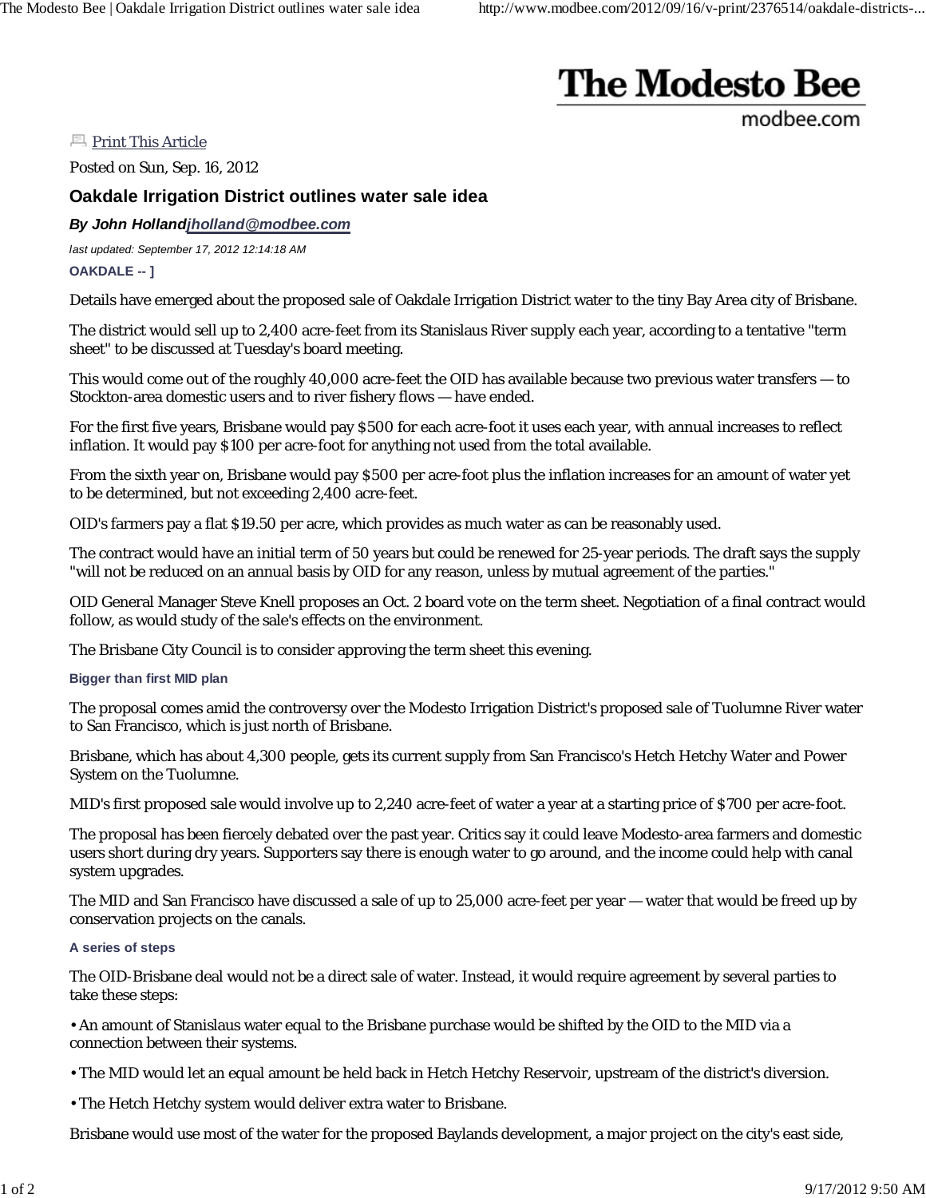# **The Modesto Bee**

modbee.com

**Print This Article** 

Posted on Sun, Sep. 16, 2012

## **Oakdale Irrigation District outlines water sale idea**

### *By John Hollandjholland@modbee.com*

*last updated: September 17, 2012 12:14:18 AM* **OAKDALE -- ]**

Details have emerged about the proposed sale of Oakdale Irrigation District water to the tiny Bay Area city of Brisbane.

The district would sell up to 2,400 acre-feet from its Stanislaus River supply each year, according to a tentative "term sheet" to be discussed at Tuesday's board meeting.

This would come out of the roughly 40,000 acre-feet the OID has available because two previous water transfers — to Stockton-area domestic users and to river fishery flows — have ended.

For the first five years, Brisbane would pay \$500 for each acre-foot it uses each year, with annual increases to reflect inflation. It would pay \$100 per acre-foot for anything not used from the total available.

From the sixth year on, Brisbane would pay \$500 per acre-foot plus the inflation increases for an amount of water yet to be determined, but not exceeding 2,400 acre-feet.

OID's farmers pay a flat \$19.50 per acre, which provides as much water as can be reasonably used.

The contract would have an initial term of 50 years but could be renewed for 25-year periods. The draft says the supply "will not be reduced on an annual basis by OID for any reason, unless by mutual agreement of the parties."

OID General Manager Steve Knell proposes an Oct. 2 board vote on the term sheet. Negotiation of a final contract would follow, as would study of the sale's effects on the environment.

The Brisbane City Council is to consider approving the term sheet this evening.

#### **Bigger than first MID plan**

The proposal comes amid the controversy over the Modesto Irrigation District's proposed sale of Tuolumne River water to San Francisco, which is just north of Brisbane.

Brisbane, which has about 4,300 people, gets its current supply from San Francisco's Hetch Hetchy Water and Power System on the Tuolumne.

MID's first proposed sale would involve up to 2,240 acre-feet of water a year at a starting price of \$700 per acre-foot.

The proposal has been fiercely debated over the past year. Critics say it could leave Modesto-area farmers and domestic users short during dry years. Supporters say there is enough water to go around, and the income could help with canal system upgrades.

The MID and San Francisco have discussed a sale of up to 25,000 acre-feet per year — water that would be freed up by conservation projects on the canals.

#### **A series of steps**

The OID-Brisbane deal would not be a direct sale of water. Instead, it would require agreement by several parties to take these steps:

• An amount of Stanislaus water equal to the Brisbane purchase would be shifted by the OID to the MID via a connection between their systems.

- The MID would let an equal amount be held back in Hetch Hetchy Reservoir, upstream of the district's diversion.
- The Hetch Hetchy system would deliver extra water to Brisbane.

Brisbane would use most of the water for the proposed Baylands development, a major project on the city's east side,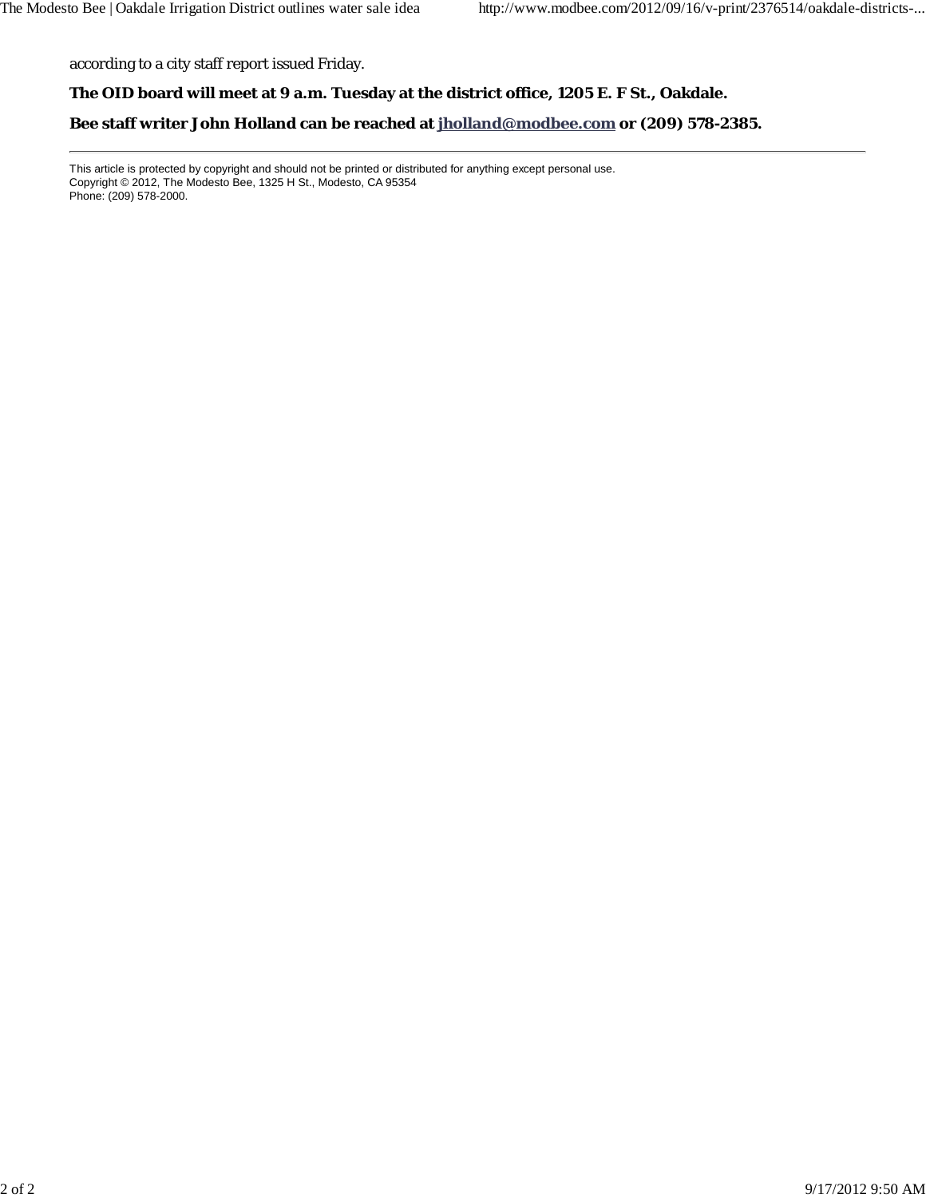according to a city staff report issued Friday.

#### **The OID board will meet at 9 a.m. Tuesday at the district office, 1205 E. F St., Oakdale.**

**Bee staff writer John Holland can be reached at jholland@modbee.com or (209) 578-2385.**

This article is protected by copyright and should not be printed or distributed for anything except personal use. Copyright © 2012, The Modesto Bee, 1325 H St., Modesto, CA 95354 Phone: (209) 578-2000.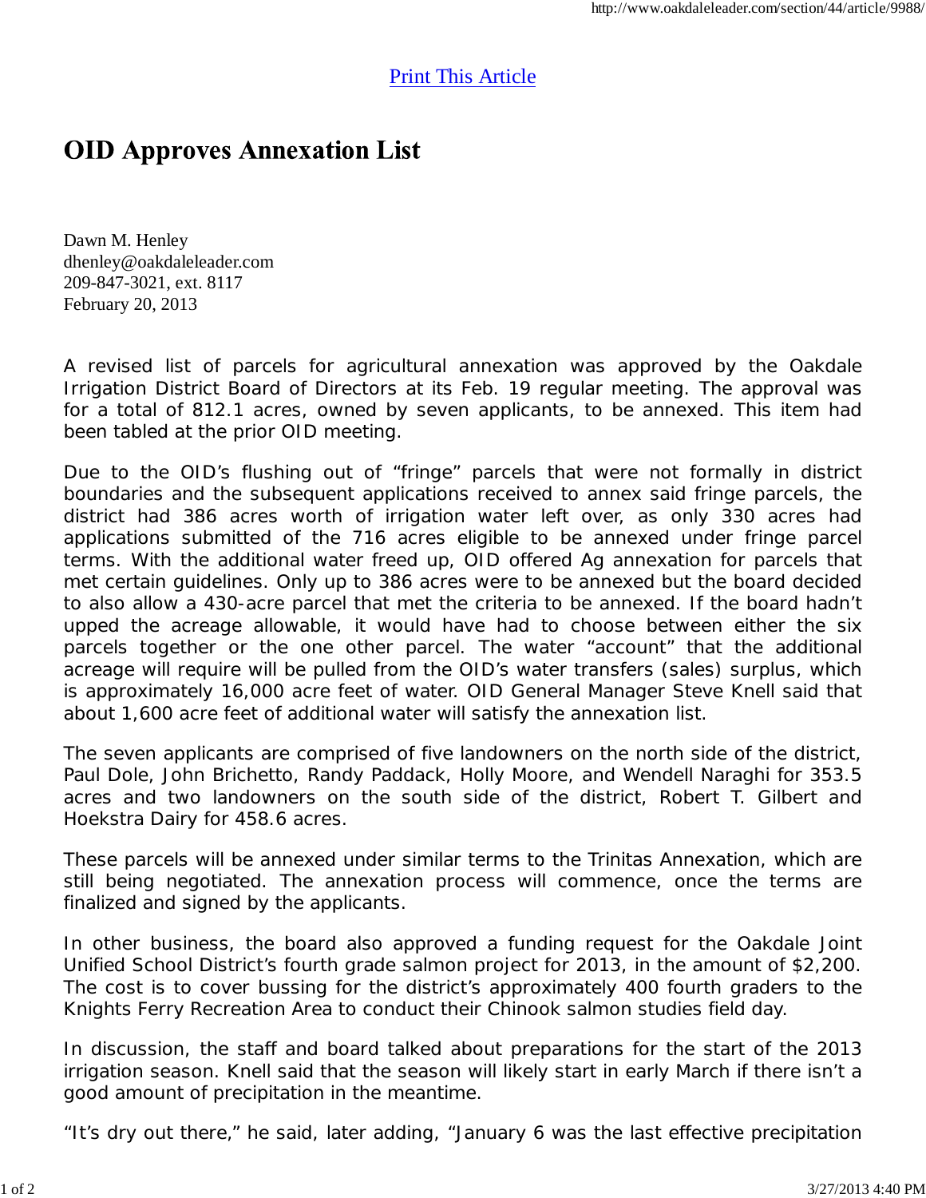# Print This Article

# **OID Approves Annexation List**

Dawn M. Henley dhenley@oakdaleleader.com 209-847-3021, ext. 8117 February 20, 2013

A revised list of parcels for agricultural annexation was approved by the Oakdale Irrigation District Board of Directors at its Feb. 19 regular meeting. The approval was for a total of 812.1 acres, owned by seven applicants, to be annexed. This item had been tabled at the prior OID meeting.

Due to the OID's flushing out of "fringe" parcels that were not formally in district boundaries and the subsequent applications received to annex said fringe parcels, the district had 386 acres worth of irrigation water left over, as only 330 acres had applications submitted of the 716 acres eligible to be annexed under fringe parcel terms. With the additional water freed up, OID offered Ag annexation for parcels that met certain guidelines. Only up to 386 acres were to be annexed but the board decided to also allow a 430-acre parcel that met the criteria to be annexed. If the board hadn't upped the acreage allowable, it would have had to choose between either the six parcels together or the one other parcel. The water "account" that the additional acreage will require will be pulled from the OID's water transfers (sales) surplus, which is approximately 16,000 acre feet of water. OID General Manager Steve Knell said that about 1,600 acre feet of additional water will satisfy the annexation list.

The seven applicants are comprised of five landowners on the north side of the district, Paul Dole, John Brichetto, Randy Paddack, Holly Moore, and Wendell Naraghi for 353.5 acres and two landowners on the south side of the district, Robert T. Gilbert and Hoekstra Dairy for 458.6 acres.

These parcels will be annexed under similar terms to the Trinitas Annexation, which are still being negotiated. The annexation process will commence, once the terms are finalized and signed by the applicants.

In other business, the board also approved a funding request for the Oakdale Joint Unified School District's fourth grade salmon project for 2013, in the amount of \$2,200. The cost is to cover bussing for the district's approximately 400 fourth graders to the Knights Ferry Recreation Area to conduct their Chinook salmon studies field day.

In discussion, the staff and board talked about preparations for the start of the 2013 irrigation season. Knell said that the season will likely start in early March if there isn't a good amount of precipitation in the meantime.

"It's dry out there," he said, later adding, "January 6 was the last effective precipitation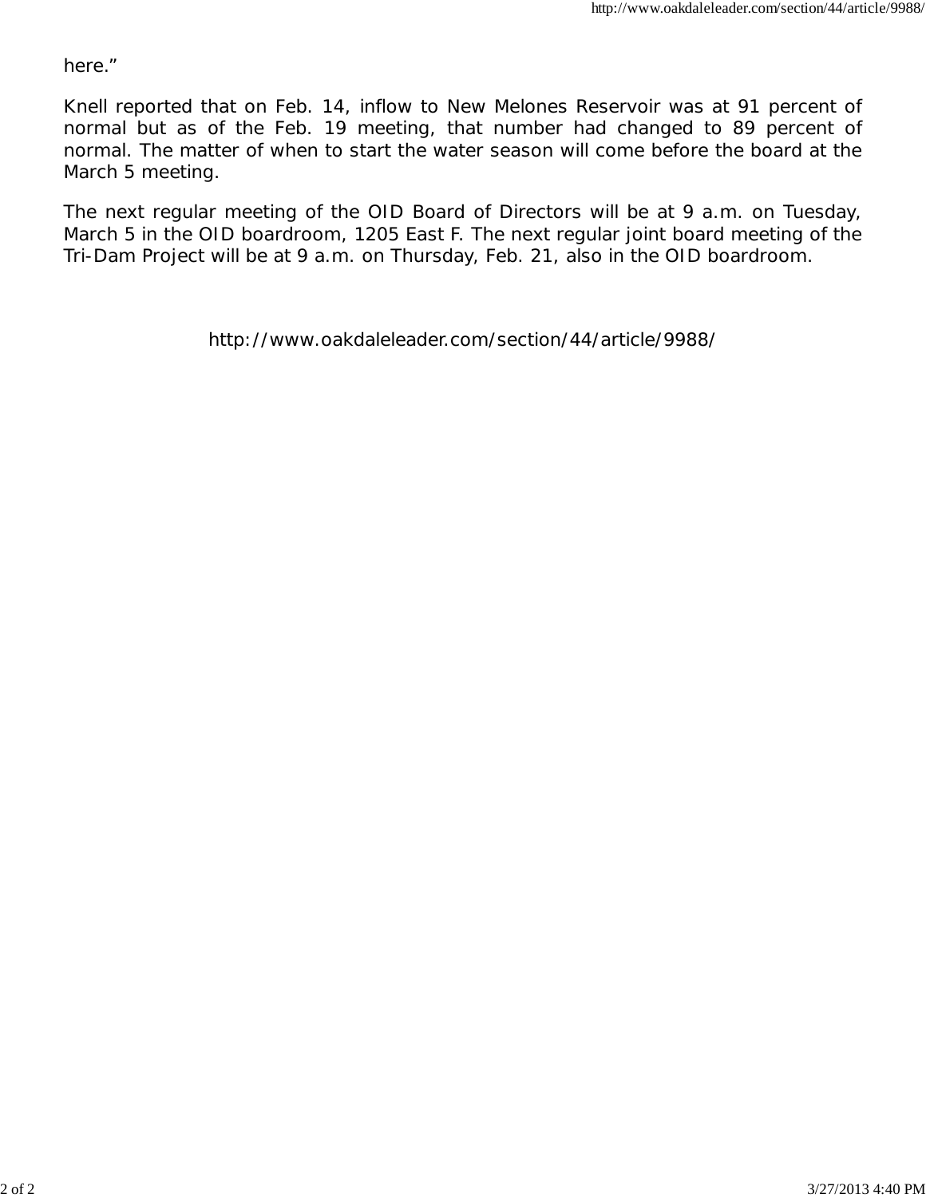here."

Knell reported that on Feb. 14, inflow to New Melones Reservoir was at 91 percent of normal but as of the Feb. 19 meeting, that number had changed to 89 percent of normal. The matter of when to start the water season will come before the board at the March 5 meeting.

The next regular meeting of the OID Board of Directors will be at 9 a.m. on Tuesday, March 5 in the OID boardroom, 1205 East F. The next regular joint board meeting of the Tri-Dam Project will be at 9 a.m. on Thursday, Feb. 21, also in the OID boardroom.

http://www.oakdaleleader.com/section/44/article/9988/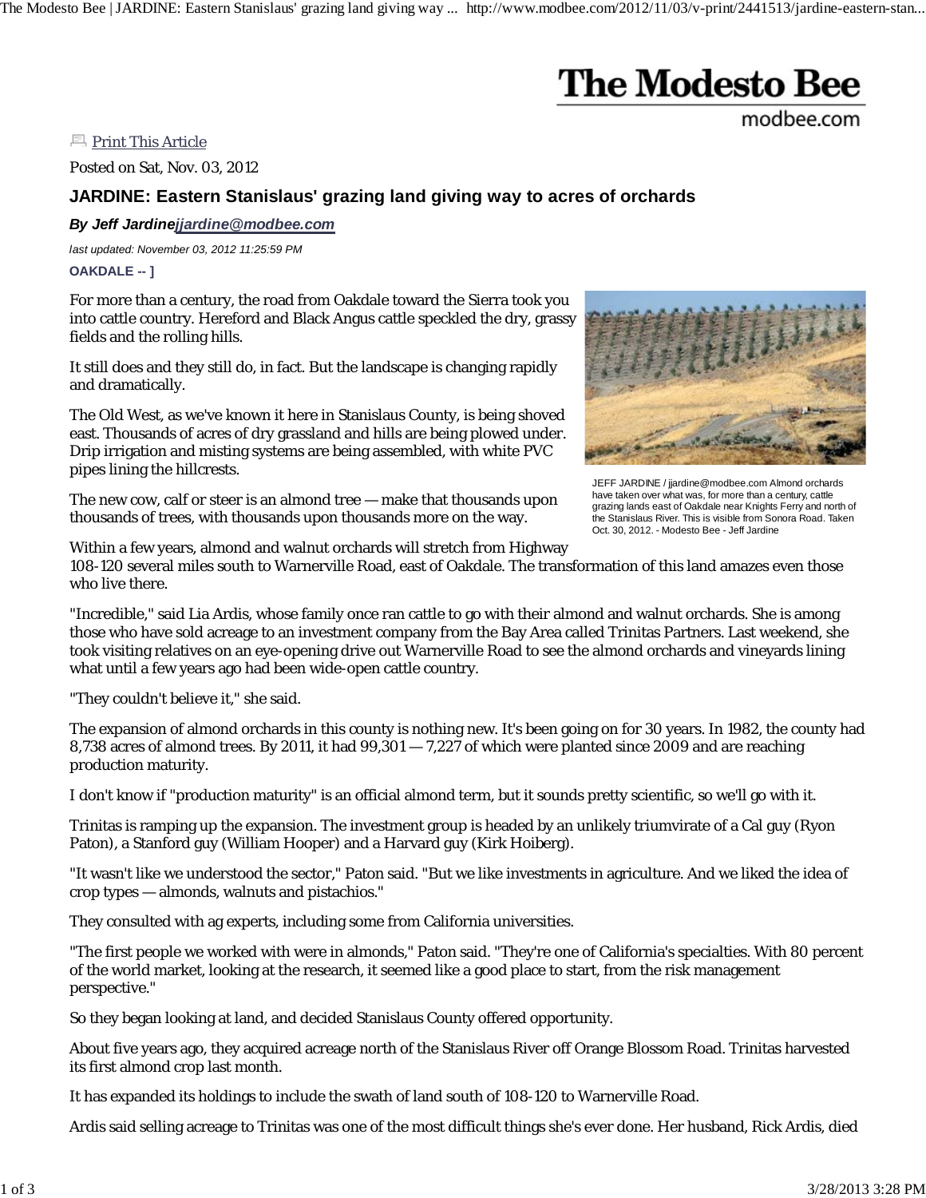The Modesto Bee | JARDINE: Eastern Stanislaus' grazing land giving way ... http://www.modbee.com/2012/11/03/v-print/2441513/jardine-eastern-stan...

# **The Modesto Bee**

modbee.com

**Print This Article** 

Posted on Sat, Nov. 03, 2012

## **JARDINE: Eastern Stanislaus' grazing land giving way to acres of orchards**

*By Jeff Jardinejjardine@modbee.com*

*last updated: November 03, 2012 11:25:59 PM* **OAKDALE -- ]**

For more than a century, the road from Oakdale toward the Sierra took you into cattle country. Hereford and Black Angus cattle speckled the dry, grassy fields and the rolling hills.

It still does and they still do, in fact. But the landscape is changing rapidly and dramatically.

The Old West, as we've known it here in Stanislaus County, is being shoved east. Thousands of acres of dry grassland and hills are being plowed under. Drip irrigation and misting systems are being assembled, with white PVC pipes lining the hillcrests.

The new cow, calf or steer is an almond tree — make that thousands upon thousands of trees, with thousands upon thousands more on the way.



JEFF JARDINE / jjardine@modbee.com Almond orchards have taken over what was, for more than a century, cattle grazing lands east of Oakdale near Knights Ferry and north of the Stanislaus River. This is visible from Sonora Road. Taken Oct. 30, 2012. - Modesto Bee - Jeff Jardine

Within a few years, almond and walnut orchards will stretch from Highway 108-120 several miles south to Warnerville Road, east of Oakdale. The transformation of this land amazes even those who live there.

"Incredible," said Lia Ardis, whose family once ran cattle to go with their almond and walnut orchards. She is among those who have sold acreage to an investment company from the Bay Area called Trinitas Partners. Last weekend, she took visiting relatives on an eye-opening drive out Warnerville Road to see the almond orchards and vineyards lining what until a few years ago had been wide-open cattle country.

"They couldn't believe it," she said.

The expansion of almond orchards in this county is nothing new. It's been going on for 30 years. In 1982, the county had 8,738 acres of almond trees. By 2011, it had  $99,301 - 7,227$  of which were planted since 2009 and are reaching production maturity.

I don't know if "production maturity" is an official almond term, but it sounds pretty scientific, so we'll go with it.

Trinitas is ramping up the expansion. The investment group is headed by an unlikely triumvirate of a Cal guy (Ryon Paton), a Stanford guy (William Hooper) and a Harvard guy (Kirk Hoiberg).

"It wasn't like we understood the sector," Paton said. "But we like investments in agriculture. And we liked the idea of crop types — almonds, walnuts and pistachios."

They consulted with ag experts, including some from California universities.

"The first people we worked with were in almonds," Paton said. "They're one of California's specialties. With 80 percent of the world market, looking at the research, it seemed like a good place to start, from the risk management perspective."

So they began looking at land, and decided Stanislaus County offered opportunity.

About five years ago, they acquired acreage north of the Stanislaus River off Orange Blossom Road. Trinitas harvested its first almond crop last month.

It has expanded its holdings to include the swath of land south of 108-120 to Warnerville Road.

Ardis said selling acreage to Trinitas was one of the most difficult things she's ever done. Her husband, Rick Ardis, died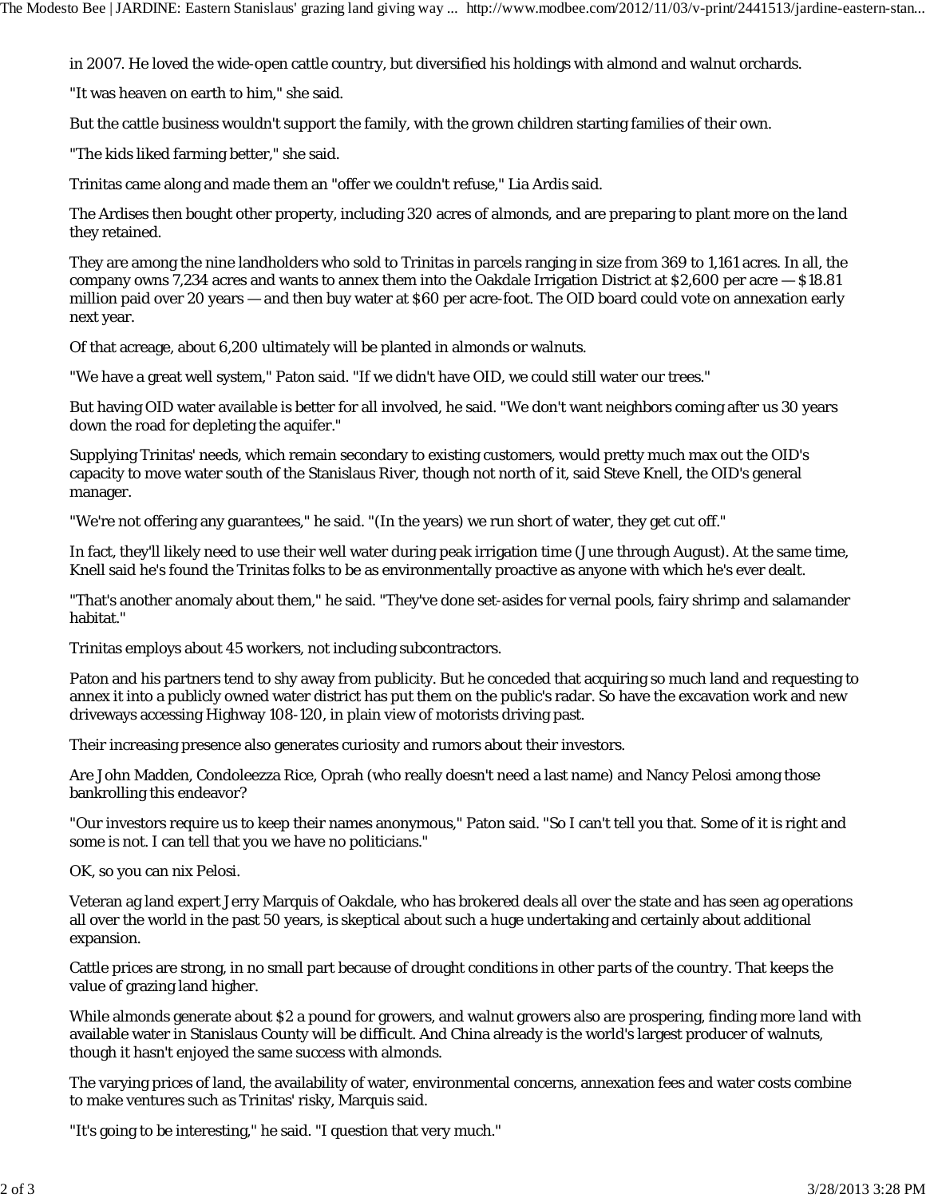in 2007. He loved the wide-open cattle country, but diversified his holdings with almond and walnut orchards.

"It was heaven on earth to him," she said.

But the cattle business wouldn't support the family, with the grown children starting families of their own.

"The kids liked farming better," she said.

Trinitas came along and made them an "offer we couldn't refuse," Lia Ardis said.

The Ardises then bought other property, including 320 acres of almonds, and are preparing to plant more on the land they retained.

They are among the nine landholders who sold to Trinitas in parcels ranging in size from 369 to 1,161 acres. In all, the company owns 7,234 acres and wants to annex them into the Oakdale Irrigation District at \$2,600 per acre — \$18.81 million paid over 20 years — and then buy water at \$60 per acre-foot. The OID board could vote on annexation early next year.

Of that acreage, about 6,200 ultimately will be planted in almonds or walnuts.

"We have a great well system," Paton said. "If we didn't have OID, we could still water our trees."

But having OID water available is better for all involved, he said. "We don't want neighbors coming after us 30 years down the road for depleting the aquifer."

Supplying Trinitas' needs, which remain secondary to existing customers, would pretty much max out the OID's capacity to move water south of the Stanislaus River, though not north of it, said Steve Knell, the OID's general manager.

"We're not offering any guarantees," he said. "(In the years) we run short of water, they get cut off."

In fact, they'll likely need to use their well water during peak irrigation time (June through August). At the same time, Knell said he's found the Trinitas folks to be as environmentally proactive as anyone with which he's ever dealt.

"That's another anomaly about them," he said. "They've done set-asides for vernal pools, fairy shrimp and salamander habitat."

Trinitas employs about 45 workers, not including subcontractors.

Paton and his partners tend to shy away from publicity. But he conceded that acquiring so much land and requesting to annex it into a publicly owned water district has put them on the public's radar. So have the excavation work and new driveways accessing Highway 108-120, in plain view of motorists driving past.

Their increasing presence also generates curiosity and rumors about their investors.

Are John Madden, Condoleezza Rice, Oprah (who really doesn't need a last name) and Nancy Pelosi among those bankrolling this endeavor?

"Our investors require us to keep their names anonymous," Paton said. "So I can't tell you that. Some of it is right and some is not. I can tell that you we have no politicians."

OK, so you can nix Pelosi.

Veteran ag land expert Jerry Marquis of Oakdale, who has brokered deals all over the state and has seen ag operations all over the world in the past 50 years, is skeptical about such a huge undertaking and certainly about additional expansion.

Cattle prices are strong, in no small part because of drought conditions in other parts of the country. That keeps the value of grazing land higher.

While almonds generate about \$2 a pound for growers, and walnut growers also are prospering, finding more land with available water in Stanislaus County will be difficult. And China already is the world's largest producer of walnuts, though it hasn't enjoyed the same success with almonds.

The varying prices of land, the availability of water, environmental concerns, annexation fees and water costs combine to make ventures such as Trinitas' risky, Marquis said.

"It's going to be interesting," he said. "I question that very much."